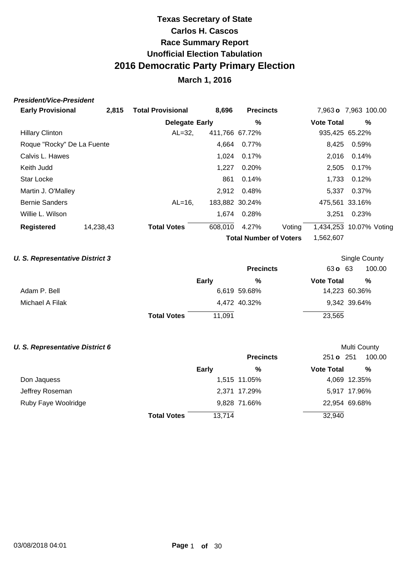### **March 1, 2016**

#### **President/Vice-President**

| <b>Early Provisional</b>   | 2,815     | <b>Total Provisional</b> | 8,696   | <b>Precincts</b>              |        |                   | 7,963 o 7,963 100.00    |
|----------------------------|-----------|--------------------------|---------|-------------------------------|--------|-------------------|-------------------------|
|                            |           | <b>Delegate Early</b>    |         | $\%$                          |        | <b>Vote Total</b> | %                       |
| <b>Hillary Clinton</b>     |           | $AL=32.$                 |         | 411,766 67.72%                |        |                   | 935,425 65.22%          |
| Roque "Rocky" De La Fuente |           |                          | 4,664   | 0.77%                         |        | 8,425             | 0.59%                   |
| Calvis L. Hawes            |           |                          | 1.024   | 0.17%                         |        | 2,016             | 0.14%                   |
| Keith Judd                 |           |                          | 1,227   | 0.20%                         |        | 2,505             | 0.17%                   |
| <b>Star Locke</b>          |           |                          | 861     | 0.14%                         |        | 1.733             | 0.12%                   |
| Martin J. O'Malley         |           |                          | 2,912   | 0.48%                         |        | 5.337             | 0.37%                   |
| <b>Bernie Sanders</b>      |           | $AL=16$ .                |         | 183,882 30.24%                |        |                   | 475.561 33.16%          |
| Willie L. Wilson           |           |                          |         | 1.674 0.28%                   |        | 3.251             | 0.23%                   |
| <b>Registered</b>          | 14,238,43 | <b>Total Votes</b>       | 608,010 | 4.27%                         | Voting |                   | 1,434,253 10.07% Voting |
|                            |           |                          |         | <b>Total Number of Voters</b> |        | 1,562,607         |                         |

### **U. S. Representative District 3**

|                 |                    |              | <b>Precincts</b> | 63 o 63           | 100.00        |  |
|-----------------|--------------------|--------------|------------------|-------------------|---------------|--|
|                 |                    | <b>Early</b> | %                | <b>Vote Total</b> | %             |  |
| Adam P. Bell    |                    |              | 6,619 59.68%     |                   | 14,223 60.36% |  |
| Michael A Filak |                    |              | 4,472 40.32%     |                   | 9,342 39.64%  |  |
|                 | <b>Total Votes</b> | 11.091       |                  | 23,565            |               |  |

Single County

Multi County

#### **U. S. Representative District 6**

|                     |                    |        | <b>Precincts</b> | 251 o 251         | 100.00 |
|---------------------|--------------------|--------|------------------|-------------------|--------|
|                     |                    | Early  | %                | <b>Vote Total</b> | %      |
| Don Jaquess         |                    |        | 1,515 11.05%     | 4,069 12.35%      |        |
| Jeffrey Roseman     |                    |        | 2,371 17.29%     | 5,917 17.96%      |        |
| Ruby Faye Woolridge |                    |        | 9,828 71.66%     | 22,954 69.68%     |        |
|                     | <b>Total Votes</b> | 13,714 |                  | 32,940            |        |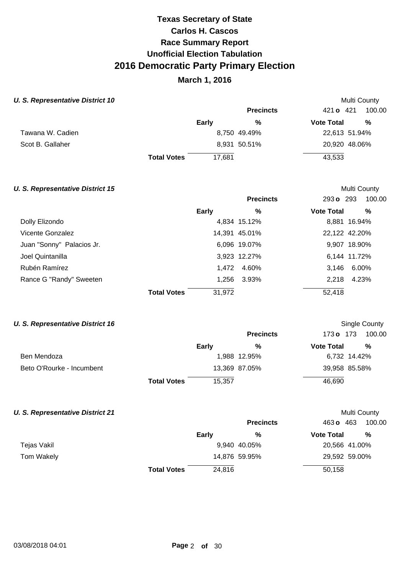## **March 1, 2016**

Multi County

Multi County

Single County

#### **U. S. Representative District 10**

|                  |                    |        | <b>Precincts</b> | 421 <b>o</b> 421<br>100.00 |
|------------------|--------------------|--------|------------------|----------------------------|
|                  |                    | Early  | %                | %<br><b>Vote Total</b>     |
| Tawana W. Cadien |                    |        | 8,750 49.49%     | 22,613 51.94%              |
| Scot B. Gallaher |                    |        | 8,931 50.51%     | 20,920 48.06%              |
|                  | <b>Total Votes</b> | 17.681 |                  | 43,533                     |

#### **U. S. Representative District 15**

|                           |                    |        | <b>Precincts</b> | 293 o 293         | 100.00        |
|---------------------------|--------------------|--------|------------------|-------------------|---------------|
|                           |                    | Early  | %                | <b>Vote Total</b> | %             |
| Dolly Elizondo            |                    |        | 4,834 15.12%     |                   | 8,881 16.94%  |
| <b>Vicente Gonzalez</b>   |                    |        | 14,391 45.01%    |                   | 22,122 42.20% |
| Juan "Sonny" Palacios Jr. |                    |        | 6,096 19.07%     |                   | 9,907 18.90%  |
| Joel Quintanilla          |                    |        | 3,923 12.27%     |                   | 6,144 11.72%  |
| Rubén Ramírez             |                    | 1.472  | 4.60%            | 3.146             | 6.00%         |
| Rance G "Randy" Sweeten   |                    | 1,256  | 3.93%            | 2.218             | 4.23%         |
|                           | <b>Total Votes</b> | 31,972 |                  | 52,418            |               |

#### **U. S. Representative District 16**

|                           |                    |        | <b>Precincts</b> | 173 o 173         | 100.00        |
|---------------------------|--------------------|--------|------------------|-------------------|---------------|
|                           |                    | Early  | %                | <b>Vote Total</b> | %             |
| Ben Mendoza               |                    |        | 1,988 12.95%     |                   | 6,732 14.42%  |
| Beto O'Rourke - Incumbent |                    |        | 13,369 87.05%    |                   | 39,958 85.58% |
|                           | <b>Total Votes</b> | 15,357 |                  | 46,690            |               |

#### **U. S. Representative District 21**

| U. S. Representative District 21 |                    |        |                  |                   | Multi County  |
|----------------------------------|--------------------|--------|------------------|-------------------|---------------|
|                                  |                    |        | <b>Precincts</b> | 463 <b>o</b> 463  | 100.00        |
|                                  |                    | Early  | %                | <b>Vote Total</b> | %             |
| Tejas Vakil                      |                    |        | 9,940 40.05%     |                   | 20,566 41.00% |
| Tom Wakely                       |                    |        | 14,876 59.95%    |                   | 29,592 59.00% |
|                                  | <b>Total Votes</b> | 24.816 |                  | 50,158            |               |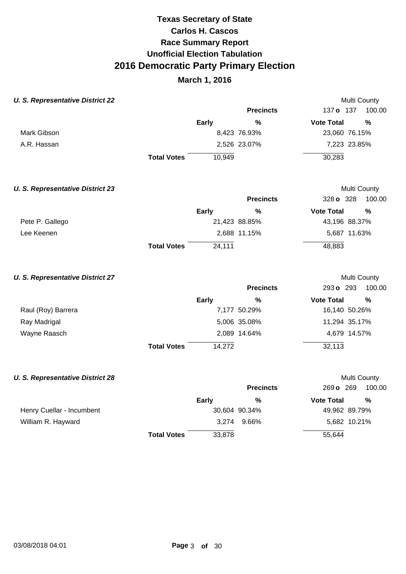### **March 1, 2016**

Multi County

Multi County

#### **U. S. Representative District 22**

|             |                    |        | <b>Precincts</b> | 137 <b>o</b> 137  | 100.00        |
|-------------|--------------------|--------|------------------|-------------------|---------------|
|             | <b>Early</b>       |        | %                | <b>Vote Total</b> | %             |
| Mark Gibson |                    |        | 8,423 76.93%     |                   | 23,060 76.15% |
| A.R. Hassan |                    |        | 2,526 23.07%     |                   | 7,223 23.85%  |
|             | <b>Total Votes</b> | 10,949 |                  | 30,283            |               |

#### **U. S. Representative District 23 Precincts** 328 **o** 328 **Early Vote Total % %** 100.00 Multi County Pete P. Gallego 21,423 88.85% 43,196 88.37% Lee Keenen 2,688 11.15% 5,687 11.63% **Total Votes** 24,111 48,883

#### **U. S. Representative District 27**

|                    |                    |              | <b>Precincts</b> | 293 o 293         | 100.00        |
|--------------------|--------------------|--------------|------------------|-------------------|---------------|
|                    | Early              |              | $\frac{0}{0}$    | <b>Vote Total</b> | %             |
| Raul (Roy) Barrera |                    | 7,177 50.29% |                  |                   | 16,140 50.26% |
| Ray Madrigal       |                    | 5,006 35.08% |                  |                   | 11,294 35.17% |
| Wayne Raasch       |                    | 2,089 14.64% |                  |                   | 4,679 14.57%  |
|                    | <b>Total Votes</b> | 14,272       |                  | 32,113            |               |

### **U. S. Representative District 28 Precincts** 269 **o** 269 100.00 **Early Vote Total % %** Multi County Henry Cuellar - Incumbent 30,604 90.34% 49,962 89.79% William R. Hayward **3,274** 9.66% 5,682 10.21% **Total Votes** 33,878 55,644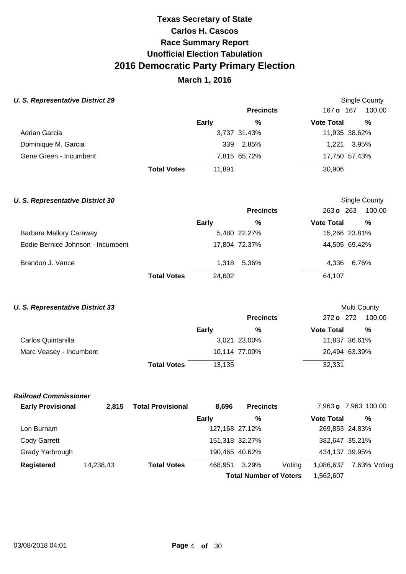## **March 1, 2016**

### **U. S. Representative District 29**

| J. S. Representative District 29 |                    |        |                  |                   | Single County |
|----------------------------------|--------------------|--------|------------------|-------------------|---------------|
|                                  |                    |        | <b>Precincts</b> | 167 <b>o</b> 167  | 100.00        |
|                                  |                    | Early  | %                | <b>Vote Total</b> | %             |
| Adrian Garcia                    |                    |        | 3,737 31.43%     |                   | 11,935 38.62% |
| Dominique M. Garcia              |                    | 339    | 2.85%            | 1.221             | 3.95%         |
| Gene Green - Incumbent           |                    |        | 7,815 65.72%     |                   | 17,750 57.43% |
|                                  | <b>Total Votes</b> | 11.891 |                  | 30,906            |               |

| <b>U. S. Representative District 30</b> |                    |        |                  |                     | Single County |
|-----------------------------------------|--------------------|--------|------------------|---------------------|---------------|
|                                         |                    |        | <b>Precincts</b> | $263 \text{ o}$ 263 | 100.00        |
|                                         |                    | Early  | %                | <b>Vote Total</b>   | %             |
| Barbara Mallory Caraway                 |                    |        | 5,480 22.27%     |                     | 15,266 23.81% |
| Eddie Bernice Johnson - Incumbent       |                    |        | 17,804 72.37%    |                     | 44,505 69.42% |
| Brandon J. Vance                        |                    |        | 1.318 5.36%      | 4,336               | 6.76%         |
|                                         | <b>Total Votes</b> | 24,602 |                  | 64,107              |               |

### **U. S. Representative District 33**

|                         |                    |        | <b>Precincts</b> |                   | 272 o 272 100.00 |
|-------------------------|--------------------|--------|------------------|-------------------|------------------|
|                         |                    | Early  | %                | <b>Vote Total</b> | %                |
| Carlos Quintanilla      |                    |        | 3,021 23.00%     |                   | 11,837 36.61%    |
| Marc Veasey - Incumbent |                    |        | 10,114 77.00%    |                   | 20,494 63.39%    |
|                         | <b>Total Votes</b> | 13,135 |                  | 32,331            |                  |

Multi County

#### **Railroad Commissioner**

| <b>Early Provisional</b> | 2.815     | <b>Total Provisional</b> | 8.696        | <b>Precincts</b>              |        |                   | 7,963 o 7,963 100.00 |  |
|--------------------------|-----------|--------------------------|--------------|-------------------------------|--------|-------------------|----------------------|--|
|                          |           |                          | <b>Early</b> | %                             |        | <b>Vote Total</b> | %                    |  |
| Lon Burnam               |           |                          |              | 127,168 27.12%                |        | 269,853 24.83%    |                      |  |
| Cody Garrett             |           |                          |              | 151,318 32.27%                |        | 382,647 35.21%    |                      |  |
| Grady Yarbrough          |           |                          |              | 190,465 40.62%                |        | 434,137 39.95%    |                      |  |
| Registered               | 14,238,43 | <b>Total Votes</b>       | 468,951      | 3.29%                         | Voting | 1,086,637         | 7.63% Voting         |  |
|                          |           |                          |              | <b>Total Number of Voters</b> |        | 1,562,607         |                      |  |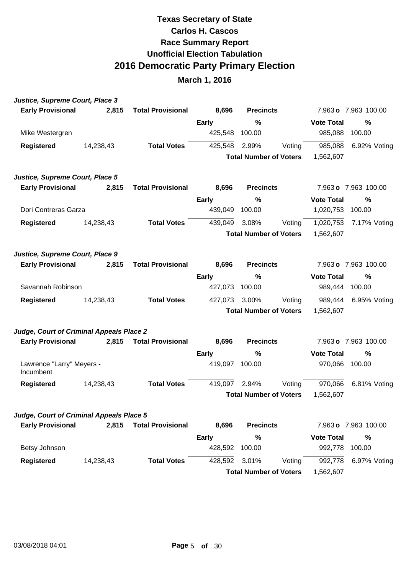| Justice, Supreme Court, Place 3          |           |                          |              |                               |        |                   |                      |
|------------------------------------------|-----------|--------------------------|--------------|-------------------------------|--------|-------------------|----------------------|
| <b>Early Provisional</b>                 | 2,815     | <b>Total Provisional</b> | 8,696        | <b>Precincts</b>              |        |                   | 7,963 o 7,963 100.00 |
|                                          |           |                          | Early        | %                             |        | <b>Vote Total</b> | $\frac{0}{0}$        |
| Mike Westergren                          |           |                          | 425,548      | 100.00                        |        | 985,088           | 100.00               |
| <b>Registered</b>                        | 14,238,43 | <b>Total Votes</b>       | 425,548      | 2.99%                         | Voting | 985,088           | 6.92% Voting         |
|                                          |           |                          |              | <b>Total Number of Voters</b> |        | 1,562,607         |                      |
| Justice, Supreme Court, Place 5          |           |                          |              |                               |        |                   |                      |
| <b>Early Provisional</b>                 | 2,815     | <b>Total Provisional</b> | 8,696        | <b>Precincts</b>              |        |                   | 7,963 o 7,963 100.00 |
|                                          |           |                          | <b>Early</b> | %                             |        | <b>Vote Total</b> | $\frac{0}{0}$        |
| Dori Contreras Garza                     |           |                          | 439,049      | 100.00                        |        | 1,020,753         | 100.00               |
| <b>Registered</b>                        | 14,238,43 | <b>Total Votes</b>       | 439,049      | 3.08%                         | Voting | 1,020,753         | 7.17% Voting         |
|                                          |           |                          |              | <b>Total Number of Voters</b> |        | 1,562,607         |                      |
| Justice, Supreme Court, Place 9          |           |                          |              |                               |        |                   |                      |
| <b>Early Provisional</b>                 | 2,815     | <b>Total Provisional</b> | 8,696        | <b>Precincts</b>              |        |                   | 7,963 o 7,963 100.00 |
|                                          |           |                          | <b>Early</b> | %                             |        | <b>Vote Total</b> | $\frac{0}{0}$        |
| Savannah Robinson                        |           |                          | 427,073      | 100.00                        |        | 989,444           | 100.00               |
| <b>Registered</b>                        | 14,238,43 | <b>Total Votes</b>       | 427,073      | 3.00%                         | Voting | 989,444           | 6.95% Voting         |
|                                          |           |                          |              | <b>Total Number of Voters</b> |        | 1,562,607         |                      |
| Judge, Court of Criminal Appeals Place 2 |           |                          |              |                               |        |                   |                      |
| <b>Early Provisional</b>                 | 2,815     | <b>Total Provisional</b> | 8,696        | <b>Precincts</b>              |        |                   | 7,963 o 7,963 100.00 |
|                                          |           |                          | <b>Early</b> | %                             |        | <b>Vote Total</b> | %                    |
| Lawrence "Larry" Meyers -<br>Incumbent   |           |                          | 419,097      | 100.00                        |        | 970,066           | 100.00               |
| <b>Registered</b>                        | 14,238,43 | <b>Total Votes</b>       | 419,097      | 2.94%                         | Voting | 970,066           | 6.81% Voting         |
|                                          |           |                          |              | <b>Total Number of Voters</b> |        | 1,562,607         |                      |
| Judge, Court of Criminal Appeals Place 5 |           |                          |              |                               |        |                   |                      |
| <b>Early Provisional</b>                 | 2,815     | <b>Total Provisional</b> | 8,696        | <b>Precincts</b>              |        |                   | 7,963 o 7,963 100.00 |
|                                          |           |                          | <b>Early</b> | $\frac{9}{6}$                 |        | <b>Vote Total</b> | $\frac{0}{0}$        |
| Betsy Johnson                            |           |                          | 428,592      | 100.00                        |        | 992,778           | 100.00               |
| <b>Registered</b>                        | 14,238,43 | <b>Total Votes</b>       | 428,592      | 3.01%                         | Voting | 992,778           | 6.97% Voting         |
|                                          |           |                          |              | <b>Total Number of Voters</b> |        | 1,562,607         |                      |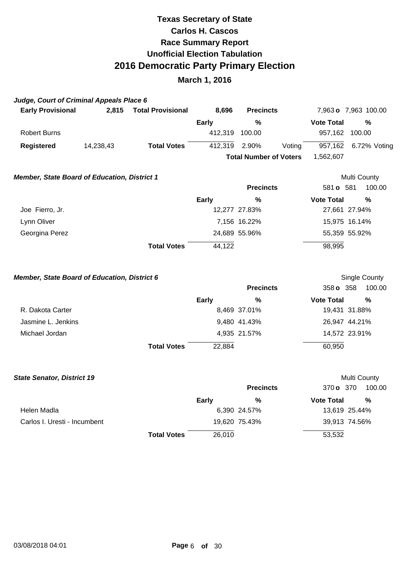### **March 1, 2016**

### **Judge, Court of Criminal Appeals Place 6**

| <b>Early Provisional</b> | 2.815     | <b>Total Provisional</b> | 8.696   | <b>Precincts</b>              |        |                   | 7,963 o 7,963 100.00 |
|--------------------------|-----------|--------------------------|---------|-------------------------------|--------|-------------------|----------------------|
|                          |           |                          | Early   | %                             |        | <b>Vote Total</b> | %                    |
| Robert Burns             |           |                          | 412.319 | 100.00                        |        | 957.162           | 100.00               |
| Registered               | 14,238,43 | <b>Total Votes</b>       | 412,319 | 2.90%                         | Voting | 957,162           | 6.72% Voting         |
|                          |           |                          |         | <b>Total Number of Voters</b> |        | 1.562.607         |                      |
|                          |           |                          |         |                               |        |                   |                      |

Multi County

Single County

### **Member, State Board of Education, District 1**

|                 |                              | <b>Precincts</b> | 100.00<br>581 <b>o</b> 581 |
|-----------------|------------------------------|------------------|----------------------------|
|                 | Early                        | %                | %<br><b>Vote Total</b>     |
| Joe Fierro, Jr. |                              | 12,277 27.83%    | 27,661 27.94%              |
| Lynn Oliver     |                              | 7,156 16.22%     | 15,975 16.14%              |
| Georgina Perez  |                              | 24,689 55.96%    | 55,359 55.92%              |
|                 | 44,122<br><b>Total Votes</b> |                  | 98,995                     |

#### **Member, State Board of Education, District 6**

|                    |                    |        | <b>Precincts</b> | 358 <b>o</b> 358  | 100.00        |
|--------------------|--------------------|--------|------------------|-------------------|---------------|
|                    |                    | Early  | %                | <b>Vote Total</b> | %             |
| R. Dakota Carter   |                    |        | 8,469 37.01%     |                   | 19,431 31.88% |
| Jasmine L. Jenkins |                    |        | 9,480 41.43%     |                   | 26,947 44.21% |
| Michael Jordan     |                    |        | 4,935 21.57%     |                   | 14,572 23.91% |
|                    | <b>Total Votes</b> | 22,884 |                  | 60,950            |               |

| <b>State Senator, District 19</b> |                    |              |                  |                   | Multi County  |
|-----------------------------------|--------------------|--------------|------------------|-------------------|---------------|
|                                   |                    |              | <b>Precincts</b> | 370 o 370         | 100.00        |
|                                   |                    | <b>Early</b> | %                | <b>Vote Total</b> | %             |
| Helen Madla                       |                    |              | 6,390 24.57%     |                   | 13,619 25.44% |
| Carlos I. Uresti - Incumbent      |                    |              | 19,620 75.43%    |                   | 39,913 74.56% |
|                                   | <b>Total Votes</b> | 26,010       |                  | 53,532            |               |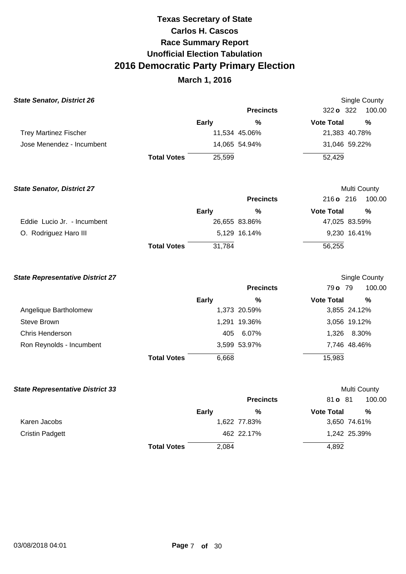| <b>State Senator, District 26</b>       |                    |              |                  |                   | <b>Single County</b> |
|-----------------------------------------|--------------------|--------------|------------------|-------------------|----------------------|
|                                         |                    |              | <b>Precincts</b> | 322 o 322         | 100.00               |
|                                         |                    | <b>Early</b> | $\%$             | <b>Vote Total</b> | $\frac{0}{0}$        |
| <b>Trey Martinez Fischer</b>            |                    |              | 11,534 45.06%    | 21,383 40.78%     |                      |
| Jose Menendez - Incumbent               |                    |              | 14,065 54.94%    | 31,046 59.22%     |                      |
|                                         | <b>Total Votes</b> | 25,599       |                  | 52,429            |                      |
| <b>State Senator, District 27</b>       |                    |              |                  | Multi County      |                      |
|                                         |                    |              | <b>Precincts</b> | 216 o 216         | 100.00               |
|                                         |                    | <b>Early</b> | $\%$             | <b>Vote Total</b> | %                    |
| Eddie Lucio Jr. - Incumbent             |                    |              | 26,655 83.86%    | 47,025 83.59%     |                      |
| O. Rodriguez Haro III                   |                    |              | 5,129 16.14%     | 9,230 16.41%      |                      |
|                                         | <b>Total Votes</b> | 31,784       |                  | 56,255            |                      |
| <b>State Representative District 27</b> |                    |              |                  |                   | Single County        |
|                                         |                    |              | <b>Precincts</b> | 79 o 79           | 100.00               |
|                                         |                    | <b>Early</b> | $\%$             | <b>Vote Total</b> | $\%$                 |
| Angelique Bartholomew                   |                    |              | 1,373 20.59%     | 3,855 24.12%      |                      |
| <b>Steve Brown</b>                      |                    |              | 1,291 19.36%     | 3,056 19.12%      |                      |
| Chris Henderson                         |                    | 405          | 6.07%            | 1,326             | 8.30%                |
| Ron Reynolds - Incumbent                |                    |              | 3,599 53.97%     | 7,746 48.46%      |                      |
|                                         | <b>Total Votes</b> | 6,668        |                  | 15,983            |                      |

| <b>State Representative District 33</b> |                    |              |                  |                   | Multi County |
|-----------------------------------------|--------------------|--------------|------------------|-------------------|--------------|
|                                         |                    |              | <b>Precincts</b> | 81 o 81           | 100.00       |
|                                         |                    | <b>Early</b> | %                | <b>Vote Total</b> | %            |
| Karen Jacobs                            |                    |              | 1,622 77.83%     |                   | 3,650 74.61% |
| <b>Cristin Padgett</b>                  |                    |              | 462 22.17%       |                   | 1,242 25.39% |
|                                         | <b>Total Votes</b> | 2,084        |                  | 4,892             |              |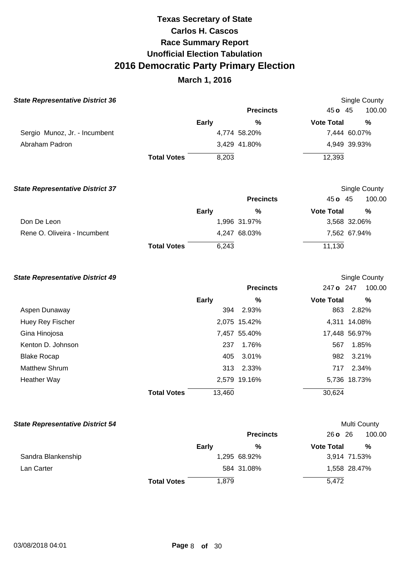## **March 1, 2016**

| <b>State Representative District 36</b> |                    |              |                  |                   | <b>Single County</b> |
|-----------------------------------------|--------------------|--------------|------------------|-------------------|----------------------|
|                                         |                    |              | <b>Precincts</b> | $45o$ 45          | 100.00               |
|                                         |                    | <b>Early</b> | %                | <b>Vote Total</b> | %                    |
| Sergio Munoz, Jr. - Incumbent           |                    |              | 4,774 58.20%     |                   | 7,444 60.07%         |
| Abraham Padron                          |                    |              | 3,429 41.80%     |                   | 4,949 39.93%         |
|                                         | <b>Total Votes</b> | 8,203        |                  | 12,393            |                      |
|                                         |                    |              |                  |                   |                      |

| <b>State Representative District 37</b> |                    |       |                  |                   | Single County |
|-----------------------------------------|--------------------|-------|------------------|-------------------|---------------|
|                                         |                    |       | <b>Precincts</b> | 45 $\sigma$ 45    | 100.00        |
|                                         |                    | Early | %                | <b>Vote Total</b> | %             |
| Don De Leon                             |                    |       | 1,996 31.97%     |                   | 3,568 32.06%  |
| Rene O. Oliveira - Incumbent            |                    |       | 4,247 68.03%     |                   | 7,562 67.94%  |
|                                         | <b>Total Votes</b> | 6.243 |                  | 11,130            |               |

#### **State Representative District 49**

|                      |                              | <b>Precincts</b> | 247 o 247         | 100.00        |
|----------------------|------------------------------|------------------|-------------------|---------------|
|                      | Early                        | %                | <b>Vote Total</b> | $\frac{0}{0}$ |
| Aspen Dunaway        | 394                          | 2.93%            | 863               | 2.82%         |
| Huey Rey Fischer     |                              | 2,075 15.42%     |                   | 4,311 14.08%  |
| Gina Hinojosa        |                              | 7,457 55.40%     |                   | 17,448 56.97% |
| Kenton D. Johnson    | 237                          | 1.76%            | 567               | 1.85%         |
| <b>Blake Rocap</b>   | 405                          | 3.01%            | 982               | 3.21%         |
| <b>Matthew Shrum</b> |                              | 313 2.33%        | 717               | 2.34%         |
| Heather Way          |                              | 2,579 19.16%     |                   | 5,736 18.73%  |
|                      | 13,460<br><b>Total Votes</b> |                  | 30,624            |               |

### **State Representative District 54**

|  | Multi County |
|--|--------------|
|--|--------------|

Single County

|                    |                    |       | <b>Precincts</b> | $26o$ $26$        | 100.00       |
|--------------------|--------------------|-------|------------------|-------------------|--------------|
|                    |                    | Early | %                | <b>Vote Total</b> | %            |
| Sandra Blankenship |                    |       | 1,295 68.92%     |                   | 3,914 71.53% |
| Lan Carter         |                    |       | 584 31.08%       |                   | 1,558 28.47% |
|                    | <b>Total Votes</b> | 1.879 |                  | 5,472             |              |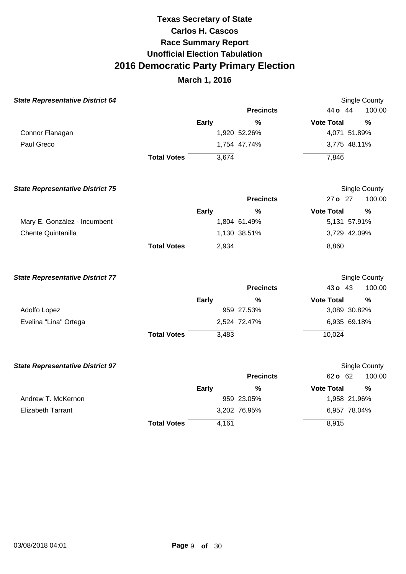| <b>State Representative District 64</b> |                    |              |                  | <b>Single County</b> |               |
|-----------------------------------------|--------------------|--------------|------------------|----------------------|---------------|
|                                         |                    |              | <b>Precincts</b> | 44 o 44              | 100.00        |
|                                         |                    | <b>Early</b> | $\frac{9}{6}$    | <b>Vote Total</b>    | $\frac{9}{6}$ |
| Connor Flanagan                         |                    |              | 1,920 52.26%     | 4,071 51.89%         |               |
| Paul Greco                              |                    |              | 1,754 47.74%     | 3,775 48.11%         |               |
|                                         | <b>Total Votes</b> | 3,674        |                  | 7,846                |               |
| <b>State Representative District 75</b> |                    |              |                  | Single County        |               |
|                                         |                    |              | <b>Precincts</b> | 27 o 27              | 100.00        |
|                                         |                    | <b>Early</b> | $\frac{0}{0}$    | <b>Vote Total</b>    | $\frac{0}{0}$ |
| Mary E. González - Incumbent            |                    |              | 1,804 61.49%     | 5,131 57.91%         |               |
| Chente Quintanilla                      |                    |              | 1,130 38.51%     | 3,729 42.09%         |               |
|                                         | <b>Total Votes</b> | 2,934        |                  | 8,860                |               |
| <b>State Representative District 77</b> |                    |              |                  | Single County        |               |
|                                         |                    |              | <b>Precincts</b> | 43 o 43              | 100.00        |
|                                         |                    | <b>Early</b> | $\%$             | <b>Vote Total</b>    | $\frac{9}{6}$ |
| Adolfo Lopez                            |                    |              | 959 27.53%       | 3,089 30.82%         |               |
| Evelina "Lina" Ortega                   |                    |              | 2,524 72.47%     | 6,935 69.18%         |               |
|                                         | <b>Total Votes</b> | 3,483        |                  | 10,024               |               |
| <b>State Representative District 97</b> |                    |              |                  | Single County        |               |
|                                         |                    |              | <b>Precincts</b> | 62 o 62              | 100.00        |
|                                         |                    | <b>Early</b> | $\frac{0}{0}$    | <b>Vote Total</b>    | $\frac{0}{0}$ |
| Andrew T. McKernon                      |                    |              | 959 23.05%       | 1,958 21.96%         |               |
| <b>Elizabeth Tarrant</b>                |                    |              | 3,202 76.95%     | 6,957 78.04%         |               |
|                                         | <b>Total Votes</b> | 4,161        |                  | 8,915                |               |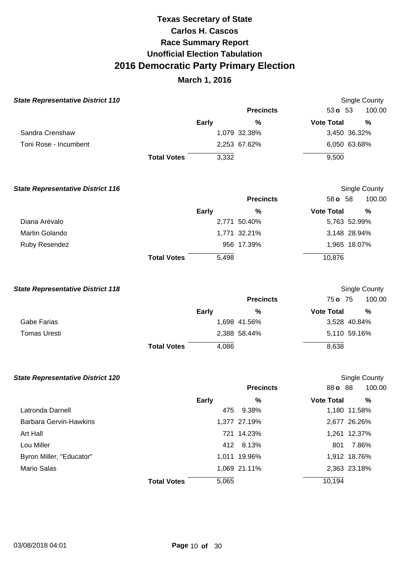| <b>State Representative District 110</b> |                    |       |                  | Single County     |              |
|------------------------------------------|--------------------|-------|------------------|-------------------|--------------|
|                                          |                    |       | <b>Precincts</b> | 53 $o$ 53         | 100.00       |
|                                          |                    | Early | %                | <b>Vote Total</b> | %            |
| Sandra Crenshaw                          |                    |       | 1,079 32.38%     |                   | 3,450 36.32% |
| Toni Rose - Incumbent                    |                    |       | 2,253 67.62%     |                   | 6,050 63.68% |
|                                          | <b>Total Votes</b> | 3,332 |                  | 9,500             |              |

| <b>State Representative District 116</b> |                    |              |                  |                   | Single County |
|------------------------------------------|--------------------|--------------|------------------|-------------------|---------------|
|                                          |                    |              | <b>Precincts</b> | 58 <b>o</b> 58    | 100.00        |
|                                          |                    | <b>Early</b> | %                | <b>Vote Total</b> | %             |
| Diana Arévalo                            |                    |              | 2,771 50.40%     |                   | 5,763 52.99%  |
| Martin Golando                           |                    |              | 1,771 32.21%     |                   | 3,148 28.94%  |
| Ruby Resendez                            |                    |              | 956 17.39%       |                   | 1,965 18.07%  |
|                                          | <b>Total Votes</b> | 5,498        |                  | 10,876            |               |

| <b>State Representative District 118</b> |                    |              |                  |                   | Single County |
|------------------------------------------|--------------------|--------------|------------------|-------------------|---------------|
|                                          |                    |              | <b>Precincts</b> | 75 o 75           | 100.00        |
|                                          |                    | <b>Early</b> | %                | <b>Vote Total</b> | %             |
| Gabe Farias                              |                    |              | 1,698 41.56%     |                   | 3,528 40.84%  |
| Tomas Uresti                             |                    |              | 2,388 58.44%     |                   | 5,110 59.16%  |
|                                          | <b>Total Votes</b> | 4.086        |                  | 8,638             |               |

| <b>State Representative District 120</b> |                    |              |                  |                   | Single County |
|------------------------------------------|--------------------|--------------|------------------|-------------------|---------------|
|                                          |                    |              | <b>Precincts</b> | 88 <b>o</b> 88    | 100.00        |
|                                          |                    | <b>Early</b> | %                | <b>Vote Total</b> | %             |
| Latronda Darnell                         |                    | 475          | 9.38%            |                   | 1,180 11.58%  |
| Barbara Gervin-Hawkins                   |                    |              | 1,377 27.19%     |                   | 2,677 26.26%  |
| Art Hall                                 |                    |              | 721 14.23%       |                   | 1,261 12.37%  |
| Lou Miller                               |                    |              | 412 8.13%        | 801               | 7.86%         |
| Byron Miller, "Educator"                 |                    |              | 1,011 19.96%     |                   | 1,912 18.76%  |
| Mario Salas                              |                    |              | 1,069 21.11%     |                   | 2,363 23.18%  |
|                                          | <b>Total Votes</b> | 5,065        |                  | 10,194            |               |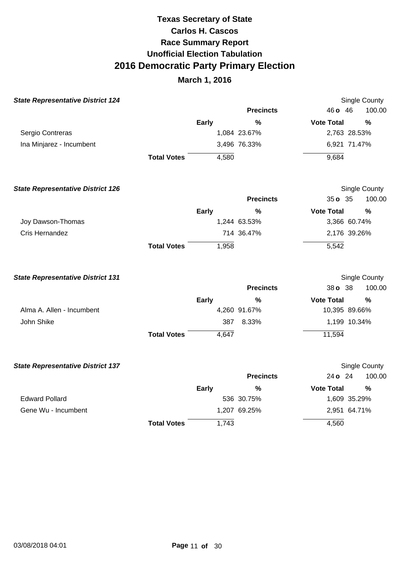| <b>State Representative District 124</b> |                    |              |                  | <b>Single County</b>      |  |
|------------------------------------------|--------------------|--------------|------------------|---------------------------|--|
|                                          |                    |              | <b>Precincts</b> | 100.00<br>46 o 46         |  |
|                                          |                    | <b>Early</b> | $\%$             | <b>Vote Total</b><br>$\%$ |  |
| Sergio Contreras                         |                    |              | 1,084 23.67%     | 2,763 28.53%              |  |
| Ina Minjarez - Incumbent                 |                    |              | 3,496 76.33%     | 6,921 71.47%              |  |
|                                          | <b>Total Votes</b> | 4,580        |                  | 9,684                     |  |
| <b>State Representative District 126</b> |                    |              |                  | Single County             |  |
|                                          |                    |              | <b>Precincts</b> | 35 o 35<br>100.00         |  |
|                                          |                    | <b>Early</b> | $\%$             | <b>Vote Total</b><br>%    |  |
| Joy Dawson-Thomas                        |                    |              | 1,244 63.53%     | 3,366 60.74%              |  |
| Cris Hernandez                           |                    |              | 714 36.47%       | 2,176 39.26%              |  |
|                                          | <b>Total Votes</b> | 1,958        |                  | 5,542                     |  |
| <b>State Representative District 131</b> |                    |              |                  | Single County             |  |
|                                          |                    |              | <b>Precincts</b> | 100.00<br>38 o 38         |  |
|                                          |                    | <b>Early</b> | $\%$             | <b>Vote Total</b><br>%    |  |
| Alma A. Allen - Incumbent                |                    |              | 4,260 91.67%     | 10,395 89.66%             |  |
| John Shike                               |                    | 387          | 8.33%            | 1,199 10.34%              |  |
|                                          | <b>Total Votes</b> | 4,647        |                  | 11,594                    |  |
| <b>State Representative District 137</b> |                    |              |                  | Single County             |  |
|                                          |                    |              | <b>Precincts</b> | 24 o 24<br>100.00         |  |
|                                          |                    | <b>Early</b> | $\frac{0}{0}$    | <b>Vote Total</b><br>%    |  |
| <b>Edward Pollard</b>                    |                    |              | 536 30.75%       | 1,609 35.29%              |  |
| Gene Wu - Incumbent                      |                    |              | 1,207 69.25%     | 2,951 64.71%              |  |
|                                          | <b>Total Votes</b> | 1,743        |                  | 4,560                     |  |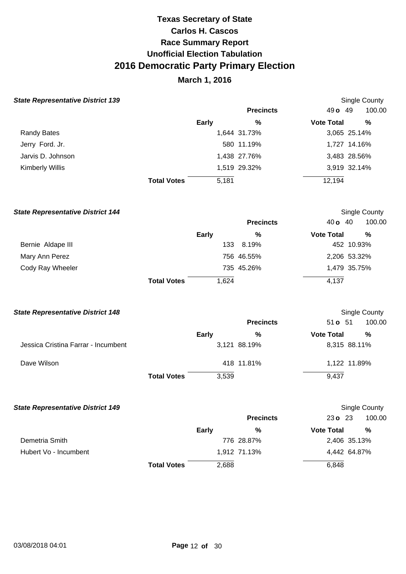## **March 1, 2016**

|  | <b>State Representative District 139</b> |  |  |
|--|------------------------------------------|--|--|
|--|------------------------------------------|--|--|

| tate Representative District 139 |                    |       |                  |                   | Single County |
|----------------------------------|--------------------|-------|------------------|-------------------|---------------|
|                                  |                    |       | <b>Precincts</b> | 49 <b>o</b> 49    | 100.00        |
|                                  |                    | Early | %                | <b>Vote Total</b> | %             |
| <b>Randy Bates</b>               |                    |       | 1,644 31.73%     |                   | 3,065 25.14%  |
| Jerry Ford. Jr.                  |                    |       | 580 11.19%       |                   | 1,727 14.16%  |
| Jarvis D. Johnson                |                    |       | 1,438 27.76%     |                   | 3,483 28.56%  |
| Kimberly Willis                  |                    |       | 1,519 29.32%     |                   | 3,919 32.14%  |
|                                  | <b>Total Votes</b> | 5,181 |                  | 12,194            |               |

| <b>State Representative District 144</b> |                    |              |                  |                   | Single County |  |
|------------------------------------------|--------------------|--------------|------------------|-------------------|---------------|--|
|                                          |                    |              | <b>Precincts</b> | 40 <b>o</b> 40    | 100.00        |  |
|                                          |                    | <b>Early</b> | %                | <b>Vote Total</b> | %             |  |
| Bernie Aldape III                        |                    | 133          | 8.19%            |                   | 452 10.93%    |  |
| Mary Ann Perez                           |                    |              | 756 46.55%       |                   | 2,206 53.32%  |  |
| Cody Ray Wheeler                         |                    |              | 735 45.26%       |                   | 1,479 35.75%  |  |
|                                          | <b>Total Votes</b> | 1,624        |                  | 4,137             |               |  |

#### **State Representative District 148**

|                                     |                    |       | <b>Precincts</b> | $51o$ 51          | 100.00       |
|-------------------------------------|--------------------|-------|------------------|-------------------|--------------|
|                                     |                    | Early | %                | <b>Vote Total</b> | %            |
| Jessica Cristina Farrar - Incumbent |                    |       | 3,121 88.19%     |                   | 8,315 88.11% |
| Dave Wilson                         |                    |       | 418 11.81%       |                   | 1,122 11.89% |
|                                     | <b>Total Votes</b> | 3,539 |                  | 9.437             |              |

Single County

100.00

Single County

| <b>State Representative District 149</b> |       |                  | Sing              |
|------------------------------------------|-------|------------------|-------------------|
|                                          |       | <b>Precincts</b> | $23o$ 23          |
|                                          | Early | %                | <b>Vote Total</b> |

|                       |                    | %<br>Early   | <b>Vote Total</b> | %            |
|-----------------------|--------------------|--------------|-------------------|--------------|
| Demetria Smith        |                    | 776 28.87%   |                   | 2,406 35.13% |
| Hubert Vo - Incumbent |                    | 1.912 71.13% |                   | 4.442 64.87% |
|                       | <b>Total Votes</b> | 2,688        | 6.848             |              |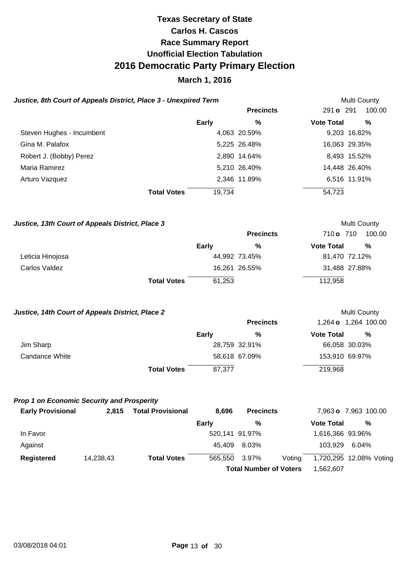### **March 1, 2016**

| Justice, 8th Court of Appeals District, Place 3 - Unexpired Term |           |                          |              |                  |        |                   | Multi County            |
|------------------------------------------------------------------|-----------|--------------------------|--------------|------------------|--------|-------------------|-------------------------|
|                                                                  |           |                          |              | <b>Precincts</b> |        | 291 <b>o</b> 291  | 100.00                  |
|                                                                  |           |                          | <b>Early</b> | %                |        | <b>Vote Total</b> | %                       |
| Steven Hughes - Incumbent                                        |           |                          |              | 4,063 20.59%     |        |                   | 9,203 16.82%            |
| Gina M. Palafox                                                  |           |                          |              | 5,225 26.48%     |        |                   | 16,063 29.35%           |
| Robert J. (Bobby) Perez                                          |           |                          |              | 2,890 14.64%     |        |                   | 8,493 15.52%            |
| Maria Ramirez                                                    |           |                          |              | 5,210 26.40%     |        |                   | 14,448 26.40%           |
| Arturo Vazquez                                                   |           |                          |              | 2,346 11.89%     |        |                   | 6,516 11.91%            |
|                                                                  |           | <b>Total Votes</b>       | 19,734       |                  |        | 54,723            |                         |
| Justice, 13th Court of Appeals District, Place 3                 |           |                          |              |                  |        |                   | Multi County            |
|                                                                  |           |                          |              | <b>Precincts</b> |        | 710 o 710         | 100.00                  |
|                                                                  |           |                          | <b>Early</b> | %                |        | <b>Vote Total</b> | %                       |
| Leticia Hinojosa                                                 |           |                          |              | 44,992 73.45%    |        |                   | 81,470 72.12%           |
| Carlos Valdez                                                    |           |                          |              | 16,261 26.55%    |        |                   | 31,488 27.88%           |
|                                                                  |           | <b>Total Votes</b>       | 61,253       |                  |        | 112,958           |                         |
| Justice, 14th Court of Appeals District, Place 2                 |           |                          |              |                  |        |                   | Multi County            |
|                                                                  |           |                          |              | <b>Precincts</b> |        |                   | 1,264 o 1,264 100.00    |
|                                                                  |           |                          | <b>Early</b> | %                |        | <b>Vote Total</b> | $\%$                    |
| Jim Sharp                                                        |           |                          |              | 28,759 32.91%    |        |                   | 66,058 30.03%           |
| <b>Candance White</b>                                            |           |                          |              | 58,618 67.09%    |        |                   | 153,910 69.97%          |
|                                                                  |           | <b>Total Votes</b>       | 87,377       |                  |        | 219,968           |                         |
| <b>Prop 1 on Economic Security and Prosperity</b>                |           |                          |              |                  |        |                   |                         |
| <b>Early Provisional</b>                                         | 2,815     | <b>Total Provisional</b> | 8,696        | <b>Precincts</b> |        |                   | 7,963 o 7,963 100.00    |
|                                                                  |           |                          | <b>Early</b> | $\%$             |        | <b>Vote Total</b> | $\%$                    |
| In Favor                                                         |           |                          |              | 520,141 91.97%   |        | 1,616,366 93.96%  |                         |
| Against                                                          |           |                          | 45,409       | 8.03%            |        | 103,929           | 6.04%                   |
| <b>Registered</b>                                                | 14,238,43 | <b>Total Votes</b>       | 565,550      | 3.97%            | Voting |                   | 1,720,295 12.08% Voting |

**Total Number of Voters** 1,562,607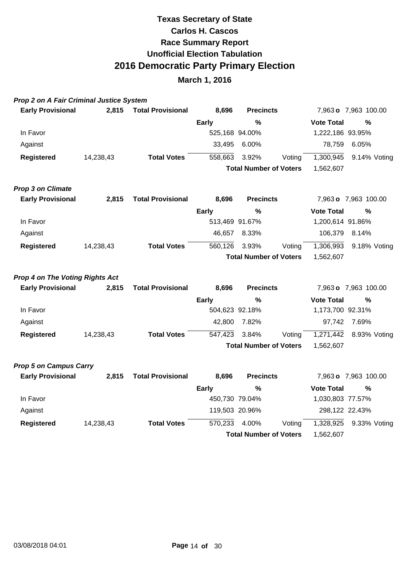| <b>Prop 2 on A Fair Criminal Justice System</b> |  |
|-------------------------------------------------|--|
|-------------------------------------------------|--|

| <b>Early Provisional</b>               | 2,815     | <b>Total Provisional</b> | 8,696        | <b>Precincts</b>              |        |                   | 7,963 o 7,963 100.00 |
|----------------------------------------|-----------|--------------------------|--------------|-------------------------------|--------|-------------------|----------------------|
|                                        |           |                          | <b>Early</b> | %                             |        | <b>Vote Total</b> | %                    |
| In Favor                               |           |                          |              | 525,168 94.00%                |        | 1,222,186 93.95%  |                      |
| Against                                |           |                          | 33,495       | 6.00%                         |        | 78,759            | 6.05%                |
| <b>Registered</b>                      | 14,238,43 | <b>Total Votes</b>       | 558,663      | 3.92%                         | Voting | 1,300,945         | 9.14% Voting         |
|                                        |           |                          |              | <b>Total Number of Voters</b> |        | 1,562,607         |                      |
| <b>Prop 3 on Climate</b>               |           |                          |              |                               |        |                   |                      |
| <b>Early Provisional</b>               | 2,815     | <b>Total Provisional</b> | 8,696        | <b>Precincts</b>              |        |                   | 7,963 o 7,963 100.00 |
|                                        |           |                          | <b>Early</b> | %                             |        | <b>Vote Total</b> | %                    |
| In Favor                               |           |                          |              | 513,469 91.67%                |        | 1,200,614 91.86%  |                      |
| Against                                |           |                          | 46,657       | 8.33%                         |        | 106,379           | 8.14%                |
| <b>Registered</b>                      | 14,238,43 | <b>Total Votes</b>       | 560,126      | 3.93%                         | Voting | 1,306,993         | 9.18% Voting         |
|                                        |           |                          |              | <b>Total Number of Voters</b> |        | 1,562,607         |                      |
| <b>Prop 4 on The Voting Rights Act</b> |           |                          |              |                               |        |                   |                      |
| <b>Early Provisional</b>               | 2,815     | <b>Total Provisional</b> | 8,696        | <b>Precincts</b>              |        |                   | 7,963 o 7,963 100.00 |
|                                        |           |                          | <b>Early</b> | %                             |        | <b>Vote Total</b> | $\%$                 |
| In Favor                               |           |                          |              | 504,623 92.18%                |        | 1,173,700 92.31%  |                      |
| Against                                |           |                          | 42,800       | 7.82%                         |        | 97,742            | 7.69%                |
| <b>Registered</b>                      | 14,238,43 | <b>Total Votes</b>       | 547,423      | 3.84%                         | Voting | 1,271,442         | 8.93% Voting         |
|                                        |           |                          |              | <b>Total Number of Voters</b> |        | 1,562,607         |                      |
| <b>Prop 5 on Campus Carry</b>          |           |                          |              |                               |        |                   |                      |
| <b>Early Provisional</b>               | 2,815     | <b>Total Provisional</b> | 8,696        | <b>Precincts</b>              |        |                   | 7,963 o 7,963 100.00 |
|                                        |           |                          | <b>Early</b> | %                             |        | <b>Vote Total</b> | %                    |
| In Favor                               |           |                          |              | 450,730 79.04%                |        | 1,030,803 77.57%  |                      |
| Against                                |           |                          |              | 119,503 20.96%                |        | 298,122 22.43%    |                      |
| <b>Registered</b>                      | 14,238,43 | <b>Total Votes</b>       | 570,233      | 4.00%                         | Voting | 1,328,925         | 9.33% Voting         |
|                                        |           |                          |              | <b>Total Number of Voters</b> |        | 1,562,607         |                      |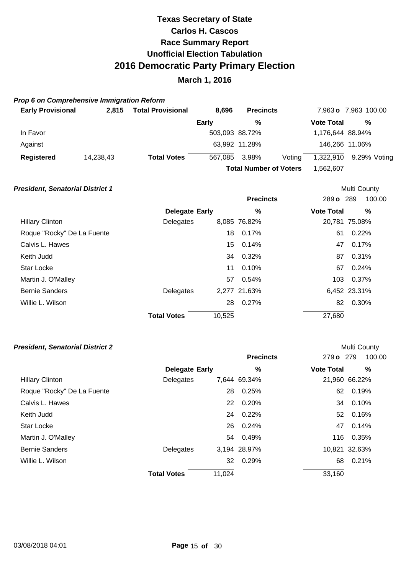### **March 1, 2016**

### **Prop 6 on Comprehensive Immigration Reform**

| <b>Early Provisional</b> | 2.815     | <b>Total Provisional</b> | 8.696                                       | <b>Precincts</b> |        |                   | 7,963 o 7,963 100.00 |
|--------------------------|-----------|--------------------------|---------------------------------------------|------------------|--------|-------------------|----------------------|
|                          |           |                          | Early                                       | %                |        | <b>Vote Total</b> | %                    |
| In Favor                 |           |                          | 503,093 88.72%                              |                  |        | 1,176,644 88.94%  |                      |
| Against                  |           |                          |                                             | 63,992 11.28%    |        |                   | 146,266 11.06%       |
| <b>Registered</b>        | 14,238,43 | <b>Total Votes</b>       | 567.085                                     | 3.98%            | Voting | 1,322,910         | 9.29% Voting         |
|                          |           |                          | <b>Total Number of Voters</b><br>562.607. ا |                  |        |                   |                      |

Multi County

Multi County

### **President, Senatorial District 1**

|                            |                       |        | <b>Precincts</b> | 289 o 289         | 100.00        |
|----------------------------|-----------------------|--------|------------------|-------------------|---------------|
|                            | <b>Delegate Early</b> |        | $\%$             | <b>Vote Total</b> | $\%$          |
| <b>Hillary Clinton</b>     | Delegates             |        | 8,085 76.82%     |                   | 20,781 75.08% |
| Roque "Rocky" De La Fuente |                       | 18     | 0.17%            | 61                | 0.22%         |
| Calvis L. Hawes            |                       |        | 15 0.14%         | 47                | 0.17%         |
| Keith Judd                 |                       |        | 34 0.32%         | 87                | 0.31%         |
| <b>Star Locke</b>          |                       | 11     | 0.10%            | 67                | 0.24%         |
| Martin J. O'Malley         |                       |        | 57 0.54%         | 103               | 0.37%         |
| <b>Bernie Sanders</b>      | Delegates             |        | 2,277 21.63%     |                   | 6,452 23.31%  |
| Willie L. Wilson           |                       | 28     | $0.27\%$         | 82                | 0.30%         |
|                            | <b>Total Votes</b>    | 10,525 |                  | 27,680            |               |

|                            |                       |        | <b>Precincts</b> | 279 o 279         | 100.00        |
|----------------------------|-----------------------|--------|------------------|-------------------|---------------|
|                            | <b>Delegate Early</b> |        | $\%$             | <b>Vote Total</b> | %             |
| <b>Hillary Clinton</b>     | Delegates             |        | 7,644 69.34%     |                   | 21,960 66.22% |
| Roque "Rocky" De La Fuente |                       | 28     | 0.25%            | 62                | 0.19%         |
| Calvis L. Hawes            |                       | 22     | 0.20%            | 34                | 0.10%         |
| Keith Judd                 |                       |        | 24 0.22%         | 52.               | 0.16%         |
| Star Locke                 |                       | 26     | 0.24%            | 47                | 0.14%         |
| Martin J. O'Malley         |                       |        | 54 0.49%         | 116               | 0.35%         |
| <b>Bernie Sanders</b>      | Delegates             |        | 3,194 28.97%     |                   | 10,821 32.63% |
| Willie L. Wilson           |                       | 32     | 0.29%            | 68                | 0.21%         |
|                            | <b>Total Votes</b>    | 11,024 |                  | 33,160            |               |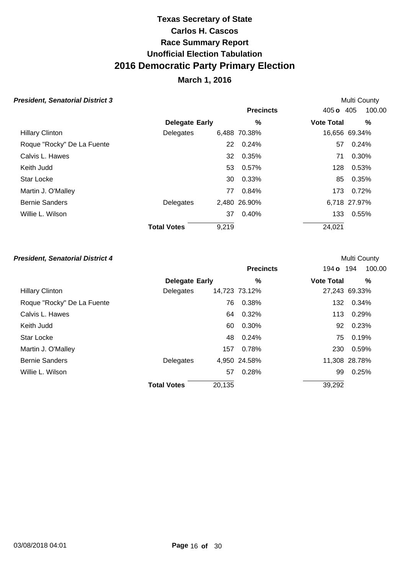## **March 1, 2016**

Multi County

Multi County

### **President, Senatorial District 3**

|                            |                       |       | <b>Precincts</b> | 405 <b>o</b> 405  | 100.00        |
|----------------------------|-----------------------|-------|------------------|-------------------|---------------|
|                            | <b>Delegate Early</b> |       | %                | <b>Vote Total</b> | %             |
| <b>Hillary Clinton</b>     | Delegates             |       | 6,488 70.38%     |                   | 16,656 69.34% |
| Roque "Rocky" De La Fuente |                       | 22    | 0.24%            | 57                | 0.24%         |
| Calvis L. Hawes            |                       | 32    | 0.35%            | 71                | 0.30%         |
| Keith Judd                 |                       | 53    | $0.57\%$         | 128               | 0.53%         |
| Star Locke                 |                       | 30    | 0.33%            | 85                | 0.35%         |
| Martin J. O'Malley         |                       | 77    | 0.84%            | 173               | 0.72%         |
| <b>Bernie Sanders</b>      | Delegates             |       | 2,480 26.90%     |                   | 6,718 27.97%  |
| Willie L. Wilson           |                       | 37    | 0.40%            | 133               | 0.55%         |
|                            | <b>Total Votes</b>    | 9,219 |                  | 24,021            |               |
|                            |                       |       |                  |                   |               |

|                            |                       |        | <b>Precincts</b> | 194 <b>o</b> 194  | 100.00        |
|----------------------------|-----------------------|--------|------------------|-------------------|---------------|
|                            | <b>Delegate Early</b> |        | %                | <b>Vote Total</b> | ℅             |
| <b>Hillary Clinton</b>     | Delegates             |        | 14,723 73.12%    |                   | 27,243 69.33% |
| Roque "Rocky" De La Fuente |                       | 76     | 0.38%            | 132               | 0.34%         |
| Calvis L. Hawes            |                       | 64     | 0.32%            | 113               | 0.29%         |
| Keith Judd                 |                       | 60     | 0.30%            | 92                | 0.23%         |
| <b>Star Locke</b>          |                       | 48     | 0.24%            | 75                | 0.19%         |
| Martin J. O'Malley         |                       | 157    | 0.78%            | 230               | 0.59%         |
| <b>Bernie Sanders</b>      | Delegates             |        | 4,950 24.58%     |                   | 11,308 28.78% |
| Willie L. Wilson           |                       | 57     | 0.28%            | 99                | 0.25%         |
|                            | <b>Total Votes</b>    | 20,135 |                  | 39,292            |               |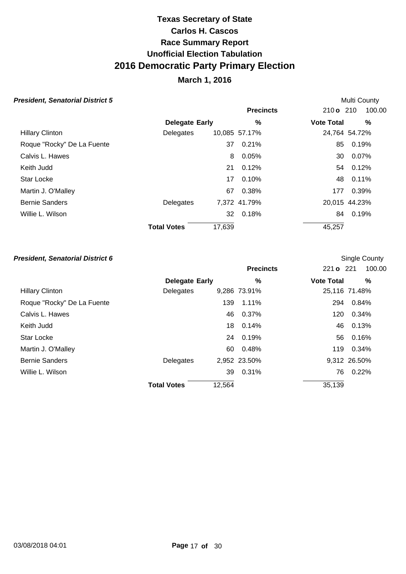## **March 1, 2016**

Multi County

Single County

#### **President, Senatorial District 5**

|                            |                       |        | <b>Precincts</b> | 210 o 210         | 100.00        |
|----------------------------|-----------------------|--------|------------------|-------------------|---------------|
|                            | <b>Delegate Early</b> |        | $\%$             | <b>Vote Total</b> | $\%$          |
| <b>Hillary Clinton</b>     | Delegates             |        | 10,085 57.17%    |                   | 24,764 54.72% |
| Roque "Rocky" De La Fuente |                       | 37     | 0.21%            | 85                | 0.19%         |
| Calvis L. Hawes            |                       | 8      | 0.05%            | 30                | 0.07%         |
| Keith Judd                 |                       | 21     | 0.12%            | 54                | 0.12%         |
| Star Locke                 |                       | 17     | 0.10%            | 48                | 0.11%         |
| Martin J. O'Malley         |                       | 67     | 0.38%            | 177               | 0.39%         |
| <b>Bernie Sanders</b>      | Delegates             |        | 7,372 41.79%     |                   | 20,015 44.23% |
| Willie L. Wilson           |                       | 32     | 0.18%            | 84                | 0.19%         |
|                            | <b>Total Votes</b>    | 17,639 |                  | 45,257            |               |

|                            |                       |        | <b>Precincts</b> | 221 o 221         | 100.00        |
|----------------------------|-----------------------|--------|------------------|-------------------|---------------|
|                            | <b>Delegate Early</b> |        | %                | <b>Vote Total</b> | %             |
| <b>Hillary Clinton</b>     | Delegates             |        | 9,286 73.91%     |                   | 25,116 71.48% |
| Roque "Rocky" De La Fuente |                       | 139    | 1.11%            | 294               | 0.84%         |
| Calvis L. Hawes            |                       |        | 46 0.37%         | 120               | 0.34%         |
| Keith Judd                 |                       | 18.    | 0.14%            | 46                | 0.13%         |
| <b>Star Locke</b>          |                       |        | 24 0.19%         | 56                | 0.16%         |
| Martin J. O'Malley         |                       | 60     | 0.48%            | 119               | 0.34%         |
| <b>Bernie Sanders</b>      | Delegates             |        | 2,952 23.50%     |                   | 9,312 26.50%  |
| Willie L. Wilson           |                       |        | 39 0.31%         | 76                | 0.22%         |
|                            | <b>Total Votes</b>    | 12,564 |                  | 35,139            |               |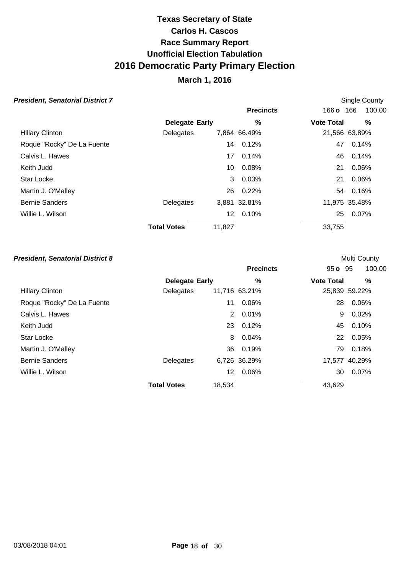## **March 1, 2016**

Single County

**Multi County** 

### **President, Senatorial District 7**

|                            |                       |        | <b>Precincts</b> | 166 <b>o</b> 166  | 100.00        |
|----------------------------|-----------------------|--------|------------------|-------------------|---------------|
|                            | <b>Delegate Early</b> |        | %                | <b>Vote Total</b> | ℅             |
| <b>Hillary Clinton</b>     | Delegates             |        | 7,864 66.49%     |                   | 21,566 63.89% |
| Roque "Rocky" De La Fuente |                       | 14     | 0.12%            | 47                | 0.14%         |
| Calvis L. Hawes            |                       | 17     | 0.14%            | 46                | 0.14%         |
| Keith Judd                 |                       | 10     | 0.08%            | 21                | 0.06%         |
| Star Locke                 |                       | 3      | 0.03%            | 21                | 0.06%         |
| Martin J. O'Malley         |                       | 26     | 0.22%            | 54                | 0.16%         |
| <b>Bernie Sanders</b>      | Delegates             |        | 3,881 32.81%     |                   | 11,975 35.48% |
| Willie L. Wilson           |                       | 12     | 0.10%            | 25                | 0.07%         |
|                            | <b>Total Votes</b>    | 11,827 |                  | 33,755            |               |
|                            |                       |        |                  |                   |               |

|                            |                       |                      | <b>Precincts</b> | $95o$ $95$        | 100.00        |
|----------------------------|-----------------------|----------------------|------------------|-------------------|---------------|
|                            | <b>Delegate Early</b> |                      | %                | <b>Vote Total</b> | %             |
| <b>Hillary Clinton</b>     | Delegates             |                      | 11,716 63.21%    |                   | 25,839 59.22% |
| Roque "Rocky" De La Fuente |                       | 11                   | 0.06%            | 28                | 0.06%         |
| Calvis L. Hawes            |                       | $\mathbf{2}^{\circ}$ | 0.01%            | 9                 | 0.02%         |
| Keith Judd                 |                       |                      | 23 0.12%         | 45                | 0.10%         |
| Star Locke                 |                       | 8                    | 0.04%            | 22                | 0.05%         |
| Martin J. O'Malley         |                       |                      | 36 0.19%         | 79                | 0.18%         |
| <b>Bernie Sanders</b>      | Delegates             |                      | 6,726 36.29%     |                   | 17,577 40.29% |
| Willie L. Wilson           |                       | 12                   | 0.06%            | 30                | 0.07%         |
|                            | <b>Total Votes</b>    | 18,534               |                  | 43,629            |               |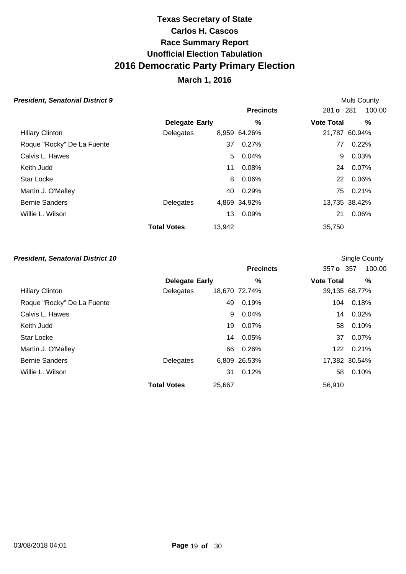## **March 1, 2016**

**Multi County** 

Single County

#### **President, Senatorial District 9**

|                            |                       | <b>Precincts</b> |              | 281 o 281         | 100.00        |
|----------------------------|-----------------------|------------------|--------------|-------------------|---------------|
|                            | <b>Delegate Early</b> |                  | %            | <b>Vote Total</b> | %             |
| <b>Hillary Clinton</b>     | Delegates             |                  | 8,959 64.26% |                   | 21,787 60.94% |
| Roque "Rocky" De La Fuente |                       | 37               | $0.27\%$     | 77                | 0.22%         |
| Calvis L. Hawes            |                       | 5.               | 0.04%        | 9                 | 0.03%         |
| Keith Judd                 |                       | 11               | $0.08\%$     | 24                | 0.07%         |
| <b>Star Locke</b>          |                       | 8                | 0.06%        | 22                | 0.06%         |
| Martin J. O'Malley         |                       | 40               | 0.29%        | 75                | 0.21%         |
| <b>Bernie Sanders</b>      | Delegates             |                  | 4,869 34.92% |                   | 13,735 38.42% |
| Willie L. Wilson           |                       | 13               | 0.09%        | 21                | 0.06%         |
|                            | <b>Total Votes</b>    | 13,942           |              | 35,750            |               |

|                            |                       |        | <b>Precincts</b> | 357 o 357         | 100.00        |
|----------------------------|-----------------------|--------|------------------|-------------------|---------------|
|                            | <b>Delegate Early</b> |        | %                | <b>Vote Total</b> | %             |
| <b>Hillary Clinton</b>     | Delegates             |        | 18,670 72.74%    |                   | 39,135 68.77% |
| Roque "Rocky" De La Fuente |                       | 49     | 0.19%            | 104               | 0.18%         |
| Calvis L. Hawes            |                       | 9      | 0.04%            | 14                | 0.02%         |
| Keith Judd                 |                       | 19     | 0.07%            | 58                | 0.10%         |
| <b>Star Locke</b>          |                       | 14     | 0.05%            | 37                | 0.07%         |
| Martin J. O'Malley         |                       | 66     | 0.26%            | 122               | 0.21%         |
| <b>Bernie Sanders</b>      | Delegates             |        | 6,809 26.53%     |                   | 17,382 30.54% |
| Willie L. Wilson           |                       | 31     | 0.12%            | 58                | 0.10%         |
|                            | <b>Total Votes</b>    | 25,667 |                  | 56,910            |               |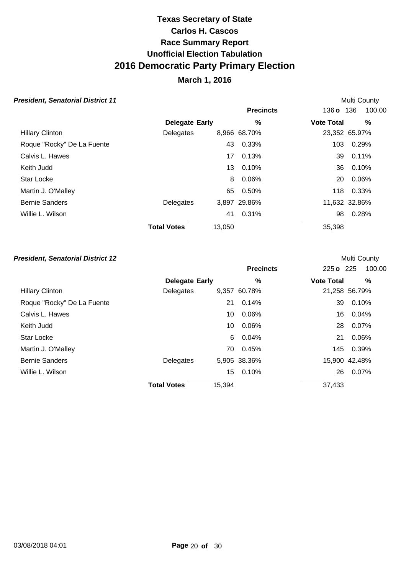## **March 1, 2016**

Multi County

Multi County

#### **President, Senatorial District 11**

|                            |                       |        | <b>Precincts</b> | 136 o 136         | 100.00        |
|----------------------------|-----------------------|--------|------------------|-------------------|---------------|
|                            | <b>Delegate Early</b> |        | %                | <b>Vote Total</b> | $\%$          |
| <b>Hillary Clinton</b>     | Delegates             |        | 8,966 68.70%     |                   | 23,352 65.97% |
| Roque "Rocky" De La Fuente |                       | 43     | 0.33%            | 103               | 0.29%         |
| Calvis L. Hawes            |                       | 17     | 0.13%            | 39                | 0.11%         |
| Keith Judd                 |                       | 13     | 0.10%            | 36                | 0.10%         |
| Star Locke                 |                       | 8      | 0.06%            | 20                | 0.06%         |
| Martin J. O'Malley         |                       | 65     | 0.50%            | 118               | 0.33%         |
| <b>Bernie Sanders</b>      | Delegates             |        | 3,897 29.86%     |                   | 11,632 32.86% |
| Willie L. Wilson           |                       | 41     | 0.31%            | 98                | 0.28%         |
|                            | <b>Total Votes</b>    | 13,050 |                  | 35,398            |               |

|                            |                       |        | <b>Precincts</b> | 225 o 225         | 100.00        |
|----------------------------|-----------------------|--------|------------------|-------------------|---------------|
|                            | <b>Delegate Early</b> |        | %                | <b>Vote Total</b> | %             |
| <b>Hillary Clinton</b>     | Delegates             |        | 9,357 60.78%     |                   | 21,258 56.79% |
| Roque "Rocky" De La Fuente |                       | 21     | 0.14%            | 39                | 0.10%         |
| Calvis L. Hawes            |                       | 10     | 0.06%            | 16                | 0.04%         |
| Keith Judd                 |                       | 10     | 0.06%            | 28                | 0.07%         |
| <b>Star Locke</b>          |                       | 6      | 0.04%            | 21                | 0.06%         |
| Martin J. O'Malley         |                       | 70     | 0.45%            | 145               | 0.39%         |
| <b>Bernie Sanders</b>      | Delegates             |        | 5,905 38.36%     |                   | 15,900 42.48% |
| Willie L. Wilson           |                       | 15     | 0.10%            | 26                | 0.07%         |
|                            | <b>Total Votes</b>    | 15,394 |                  | 37,433            |               |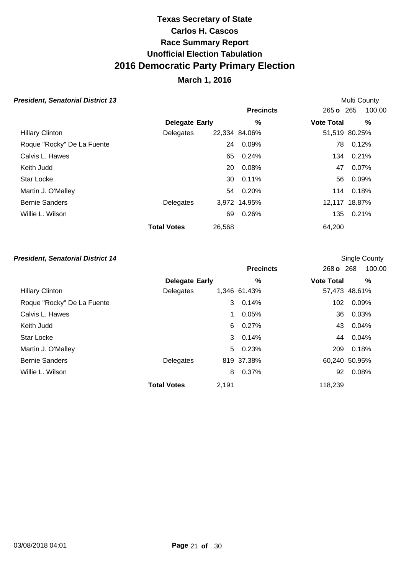## **March 1, 2016**

Multi County

Single County

### **President, Senatorial District 13**

|                            |                       |        | <b>Precincts</b> | $265 \text{ o}$ 265 | 100.00        |
|----------------------------|-----------------------|--------|------------------|---------------------|---------------|
|                            | <b>Delegate Early</b> |        | $\%$             | <b>Vote Total</b>   | $\%$          |
| <b>Hillary Clinton</b>     | Delegates             |        | 22,334 84.06%    |                     | 51,519 80.25% |
| Roque "Rocky" De La Fuente |                       | 24     | 0.09%            | 78                  | 0.12%         |
| Calvis L. Hawes            |                       | 65     | $0.24\%$         |                     | 134 0.21%     |
| Keith Judd                 |                       | 20     | 0.08%            | 47                  | 0.07%         |
| Star Locke                 |                       | 30     | 0.11%            | 56                  | 0.09%         |
| Martin J. O'Malley         |                       |        | 54 0.20%         |                     | 114 0.18%     |
| <b>Bernie Sanders</b>      | Delegates             |        | 3,972 14.95%     |                     | 12,117 18.87% |
| Willie L. Wilson           |                       | 69     | 0.26%            | 135                 | 0.21%         |
|                            | <b>Total Votes</b>    | 26,568 |                  | 64,200              |               |

|                            |                       |       | <b>Precincts</b> | 268 o 268         | 100.00        |
|----------------------------|-----------------------|-------|------------------|-------------------|---------------|
|                            | <b>Delegate Early</b> |       | %                | <b>Vote Total</b> | %             |
| <b>Hillary Clinton</b>     | Delegates             |       | 1,346 61.43%     |                   | 57,473 48.61% |
| Roque "Rocky" De La Fuente |                       | 3     | 0.14%            | 102               | 0.09%         |
| Calvis L. Hawes            |                       | 1     | 0.05%            | 36                | 0.03%         |
| Keith Judd                 |                       |       | 6 0.27%          | 43                | 0.04%         |
| <b>Star Locke</b>          |                       |       | $30.14\%$        | 44                | 0.04%         |
| Martin J. O'Malley         |                       |       | 5 0.23%          | 209               | 0.18%         |
| <b>Bernie Sanders</b>      | Delegates             |       | 819 37.38%       |                   | 60,240 50.95% |
| Willie L. Wilson           |                       | 8     | 0.37%            | 92                | 0.08%         |
|                            | <b>Total Votes</b>    | 2,191 |                  | 118,239           |               |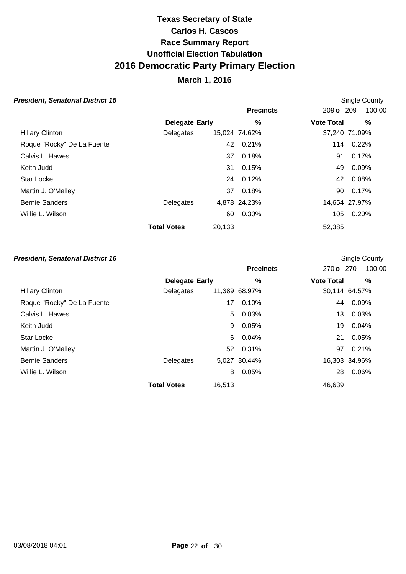### **March 1, 2016**

Single County

Single County

#### **President, Senatorial District 15**

|                            |                       |        | <b>Precincts</b> | 209 o 209         | 100.00        |
|----------------------------|-----------------------|--------|------------------|-------------------|---------------|
|                            | <b>Delegate Early</b> |        | $\%$             | <b>Vote Total</b> | %             |
| <b>Hillary Clinton</b>     | Delegates             |        | 15,024 74.62%    |                   | 37,240 71.09% |
| Roque "Rocky" De La Fuente |                       | 42     | 0.21%            | 114               | 0.22%         |
| Calvis L. Hawes            |                       | 37     | 0.18%            | 91                | 0.17%         |
| Keith Judd                 |                       | 31     | 0.15%            | 49                | 0.09%         |
| <b>Star Locke</b>          |                       | 24     | 0.12%            | 42                | 0.08%         |
| Martin J. O'Malley         |                       | 37     | 0.18%            | 90.               | $0.17\%$      |
| <b>Bernie Sanders</b>      | Delegates             |        | 4,878 24.23%     |                   | 14,654 27.97% |
| Willie L. Wilson           |                       | 60     | 0.30%            | 105               | 0.20%         |
|                            | <b>Total Votes</b>    | 20,133 |                  | 52,385            |               |

### **President, Senatorial District 16**

### **Precincts** 270 **o** 270 100.00 **Early Vote Total % % Delegate** Hillary Clinton **Delegates** 11,389 68.97% 30,114 64.57% Roque "Rocky" De La Fuente 17 0.10% 17 0.10% 44 0.09% Calvis L. Hawes 5 0.03% 13 0.03% Keith Judd 9 0.05% 19 0.04% Star Locke 6 0.04% 21 0.05% Martin J. O'Malley **62 0.31% 12.11% 12.12% 12.12% 12.12% 12.12%** 13.12% 13.12% 13.12% 13.12% 13.12% 13.12% 13.12% Bernie Sanders **16,303** 34.96% Willie L. Wilson 28 0.06% 28 0.06% **Total Votes** 16.513 46.639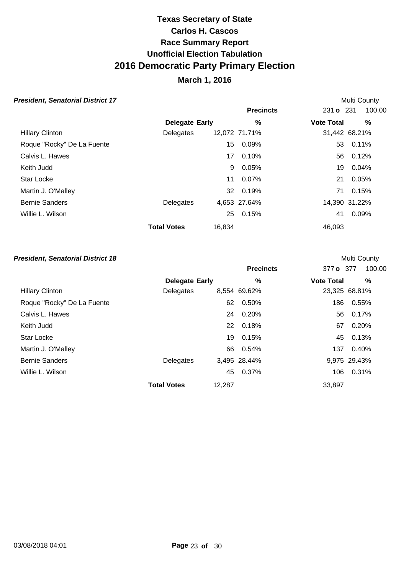## **March 1, 2016**

### **President, Senatorial District 17**

|                    |    |                                 |                                           | Multi County                      |
|--------------------|----|---------------------------------|-------------------------------------------|-----------------------------------|
|                    |    | <b>Precincts</b>                |                                           | 100.00                            |
|                    |    | $\%$                            | <b>Vote Total</b>                         | %                                 |
| Delegates          |    |                                 |                                           | 31,442 68.21%                     |
|                    | 15 | 0.09%                           |                                           | 0.11%                             |
|                    | 17 | 0.10%                           |                                           | 0.12%                             |
|                    | 9  | 0.05%                           |                                           | 0.04%                             |
|                    | 11 | 0.07%                           | 21                                        | 0.05%                             |
|                    |    |                                 |                                           | 0.15%                             |
| Delegates          |    |                                 |                                           | 14,390 31.22%                     |
|                    | 25 | 0.15%                           | 41                                        | 0.09%                             |
| <b>Total Votes</b> |    |                                 | 46,093                                    |                                   |
|                    |    | <b>Delegate Early</b><br>16,834 | 12,072 71.71%<br>32 0.19%<br>4,653 27.64% | 231 o 231<br>53<br>56<br>19<br>71 |

### **President, Senatorial District 18**

|                            |                       |        | <b>Precincts</b> | 377 o 377         | 100.00        |
|----------------------------|-----------------------|--------|------------------|-------------------|---------------|
|                            | <b>Delegate Early</b> |        | $\%$             | <b>Vote Total</b> | %             |
| <b>Hillary Clinton</b>     | Delegates             |        | 8,554 69.62%     |                   | 23,325 68.81% |
| Roque "Rocky" De La Fuente |                       | 62     | 0.50%            | 186               | 0.55%         |
| Calvis L. Hawes            |                       | 24     | 0.20%            | 56                | 0.17%         |
| Keith Judd                 |                       | 22     | 0.18%            | 67                | 0.20%         |
| <b>Star Locke</b>          |                       | 19     | 0.15%            | 45                | 0.13%         |
| Martin J. O'Malley         |                       | 66     | 0.54%            | 137               | 0.40%         |
| <b>Bernie Sanders</b>      | Delegates             |        | 3,495 28.44%     |                   | 9,975 29.43%  |
| Willie L. Wilson           |                       | 45     | 0.37%            | 106               | 0.31%         |
|                            | <b>Total Votes</b>    | 12,287 |                  | 33,897            |               |

**Multi County**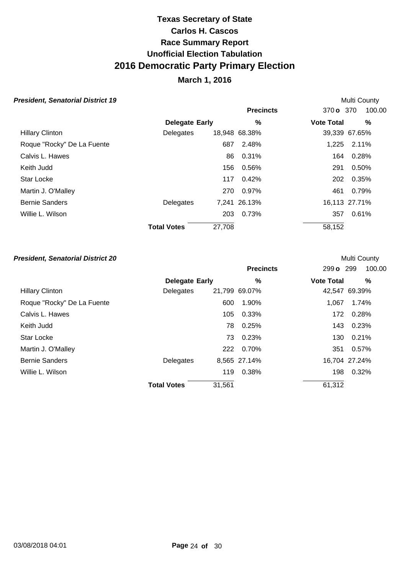## **March 1, 2016**

Multi County

Multi County

#### **President, Senatorial District 19**

|                            |                       |        | <b>Precincts</b> | 370 o 370         | 100.00        |
|----------------------------|-----------------------|--------|------------------|-------------------|---------------|
|                            | <b>Delegate Early</b> |        | $\%$             | <b>Vote Total</b> | $\%$          |
| <b>Hillary Clinton</b>     | Delegates             |        | 18,948 68.38%    |                   | 39,339 67.65% |
| Roque "Rocky" De La Fuente |                       | 687    | 2.48%            | 1,225             | 2.11%         |
| Calvis L. Hawes            |                       | 86     | 0.31%            | 164               | 0.28%         |
| Keith Judd                 |                       | 156    | 0.56%            | 291               | 0.50%         |
| Star Locke                 |                       | 117    | 0.42%            | 202               | 0.35%         |
| Martin J. O'Malley         |                       | 270    | 0.97%            | 461               | 0.79%         |
| <b>Bernie Sanders</b>      | Delegates             |        | 7,241 26.13%     |                   | 16,113 27.71% |
| Willie L. Wilson           |                       | 203    | 0.73%            | 357               | 0.61%         |
|                            | <b>Total Votes</b>    | 27,708 |                  | 58,152            |               |

|                            |                       |        | <b>Precincts</b> | 299 o 299         | 100.00        |
|----------------------------|-----------------------|--------|------------------|-------------------|---------------|
|                            | <b>Delegate Early</b> |        | %                | <b>Vote Total</b> | %             |
| <b>Hillary Clinton</b>     | Delegates             |        | 21,799 69.07%    |                   | 42,547 69.39% |
| Roque "Rocky" De La Fuente |                       | 600    | 1.90%            | 1.067             | 1.74%         |
| Calvis L. Hawes            |                       | 105    | 0.33%            | 172               | 0.28%         |
| Keith Judd                 |                       | 78     | 0.25%            | 143               | 0.23%         |
| <b>Star Locke</b>          |                       | 73     | 0.23%            | 130               | 0.21%         |
| Martin J. O'Malley         |                       | 222    | 0.70%            | 351               | 0.57%         |
| <b>Bernie Sanders</b>      | Delegates             |        | 8,565 27.14%     |                   | 16,704 27.24% |
| Willie L. Wilson           |                       | 119    | 0.38%            | 198               | 0.32%         |
|                            | <b>Total Votes</b>    | 31,561 |                  | 61,312            |               |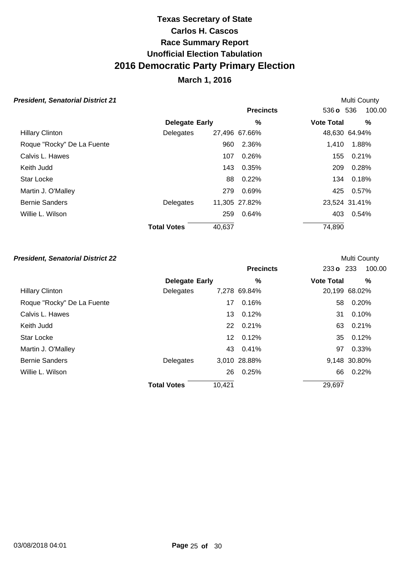## **March 1, 2016**

Multi County

Multi County

#### **President, Senatorial District 21**

|                            |                       |        | <b>Precincts</b> | 536 o 536         | 100.00        |
|----------------------------|-----------------------|--------|------------------|-------------------|---------------|
|                            | <b>Delegate Early</b> |        | %                | <b>Vote Total</b> | %             |
| <b>Hillary Clinton</b>     | Delegates             |        | 27,496 67.66%    |                   | 48,630 64.94% |
| Roque "Rocky" De La Fuente |                       | 960    | 2.36%            | 1.410             | 1.88%         |
| Calvis L. Hawes            |                       | 107    | 0.26%            | 155               | 0.21%         |
| Keith Judd                 |                       | 143    | 0.35%            | 209               | 0.28%         |
| Star Locke                 |                       | 88     | 0.22%            | 134               | 0.18%         |
| Martin J. O'Malley         |                       | 279    | 0.69%            | 425               | 0.57%         |
| <b>Bernie Sanders</b>      | Delegates             |        | 11,305 27.82%    |                   | 23,524 31.41% |
| Willie L. Wilson           |                       | 259    | $0.64\%$         | 403               | 0.54%         |
|                            | <b>Total Votes</b>    | 40,637 |                  | 74,890            |               |

|                            |                       |        | <b>Precincts</b> | 233 o 233         | 100.00        |
|----------------------------|-----------------------|--------|------------------|-------------------|---------------|
|                            | <b>Delegate Early</b> |        | %                | <b>Vote Total</b> | %             |
| <b>Hillary Clinton</b>     | Delegates             |        | 7,278 69.84%     |                   | 20,199 68.02% |
| Roque "Rocky" De La Fuente |                       | 17     | 0.16%            | 58                | 0.20%         |
| Calvis L. Hawes            |                       | 13     | 0.12%            | 31                | 0.10%         |
| Keith Judd                 |                       | 22     | 0.21%            | 63                | 0.21%         |
| <b>Star Locke</b>          |                       | 12     | 0.12%            | 35                | 0.12%         |
| Martin J. O'Malley         |                       |        | 43 0.41%         | 97                | 0.33%         |
| <b>Bernie Sanders</b>      | Delegates             |        | 3,010 28.88%     |                   | 9,148 30.80%  |
| Willie L. Wilson           |                       | 26     | 0.25%            | 66                | 0.22%         |
|                            | <b>Total Votes</b>    | 10,421 |                  | 29,697            |               |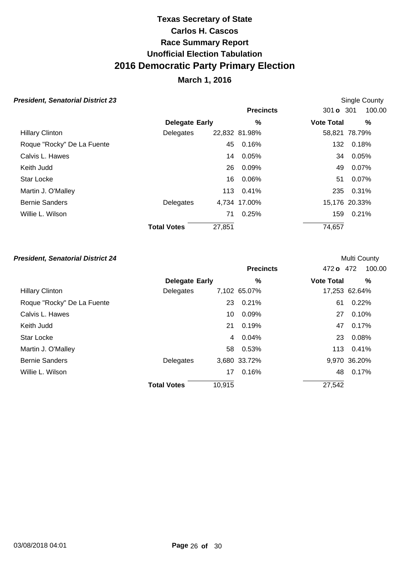## **March 1, 2016**

Single County

**Multi County** 

#### **President, Senatorial District 23**

|                            |                       |        | <b>Precincts</b> | 301 <b>o</b> 301  | 100.00        |
|----------------------------|-----------------------|--------|------------------|-------------------|---------------|
|                            | <b>Delegate Early</b> |        | $\%$             | <b>Vote Total</b> | $\%$          |
| <b>Hillary Clinton</b>     | Delegates             |        | 22,832 81.98%    |                   | 58,821 78.79% |
| Roque "Rocky" De La Fuente |                       | 45     | 0.16%            | 132               | 0.18%         |
| Calvis L. Hawes            |                       | 14     | 0.05%            | 34                | 0.05%         |
| Keith Judd                 |                       | 26     | 0.09%            | 49                | 0.07%         |
| Star Locke                 |                       | 16     | 0.06%            | 51                | 0.07%         |
| Martin J. O'Malley         |                       |        | 113 0.41%        | 235               | 0.31%         |
| <b>Bernie Sanders</b>      | Delegates             |        | 4,734 17.00%     |                   | 15,176 20.33% |
| Willie L. Wilson           |                       | 71     | 0.25%            | 159               | 0.21%         |
|                            | <b>Total Votes</b>    | 27,851 |                  | 74,657            |               |

|                            |                       |        | <b>Precincts</b> | 472 o 472         | 100.00        |
|----------------------------|-----------------------|--------|------------------|-------------------|---------------|
|                            | <b>Delegate Early</b> |        | $\%$             | <b>Vote Total</b> | %             |
| <b>Hillary Clinton</b>     | Delegates             |        | 7,102 65.07%     |                   | 17,253 62.64% |
| Roque "Rocky" De La Fuente |                       | 23     | 0.21%            | 61                | 0.22%         |
| Calvis L. Hawes            |                       | 10     | 0.09%            | 27                | 0.10%         |
| Keith Judd                 |                       | 21     | 0.19%            | 47                | 0.17%         |
| <b>Star Locke</b>          |                       | 4      | 0.04%            | 23                | 0.08%         |
| Martin J. O'Malley         |                       | 58     | 0.53%            | 113               | 0.41%         |
| <b>Bernie Sanders</b>      | Delegates             |        | 3,680 33.72%     |                   | 9,970 36.20%  |
| Willie L. Wilson           |                       | 17     | 0.16%            | 48                | 0.17%         |
|                            | <b>Total Votes</b>    | 10,915 |                  | 27,542            |               |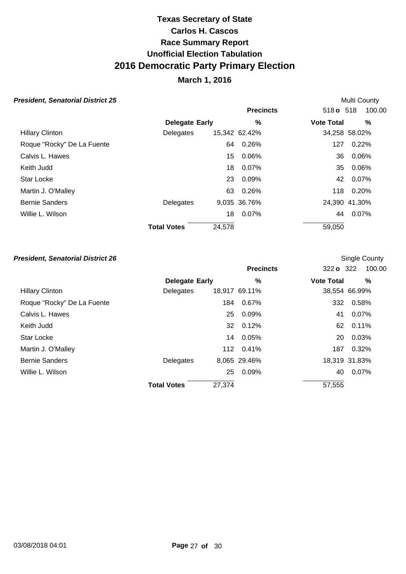## **March 1, 2016**

Multi County

Single County

#### **President, Senatorial District 25**

|                            |                       |        | <b>Precincts</b> | 518 <b>o</b> 518  | 100.00        |
|----------------------------|-----------------------|--------|------------------|-------------------|---------------|
|                            | <b>Delegate Early</b> |        | %                | <b>Vote Total</b> | $\%$          |
| <b>Hillary Clinton</b>     | Delegates             |        | 15,342 62.42%    |                   | 34,258 58.02% |
| Roque "Rocky" De La Fuente |                       | 64     | 0.26%            | 127               | 0.22%         |
| Calvis L. Hawes            |                       | 15     | 0.06%            | 36                | 0.06%         |
| Keith Judd                 |                       | 18     | 0.07%            | 35                | 0.06%         |
| Star Locke                 |                       | 23     | 0.09%            |                   | 42 0.07%      |
| Martin J. O'Malley         |                       | 63     | $0.26\%$         |                   | 118 0.20%     |
| <b>Bernie Sanders</b>      | Delegates             |        | 9,035 36.76%     |                   | 24,390 41.30% |
| Willie L. Wilson           |                       | 18     | 0.07%            | 44                | 0.07%         |
|                            | <b>Total Votes</b>    | 24,578 |                  | 59,050            |               |

|                            |                       |        | <b>Precincts</b> | 322 <b>o</b> 322  | 100.00        |
|----------------------------|-----------------------|--------|------------------|-------------------|---------------|
|                            | <b>Delegate Early</b> |        | %                | <b>Vote Total</b> | %             |
| <b>Hillary Clinton</b>     | Delegates             |        | 18,917 69.11%    |                   | 38,554 66.99% |
| Roque "Rocky" De La Fuente |                       | 184    | 0.67%            | 332               | 0.58%         |
| Calvis L. Hawes            |                       | 25     | 0.09%            | 41                | 0.07%         |
| Keith Judd                 |                       |        | 32 0.12%         | 62                | 0.11%         |
| <b>Star Locke</b>          |                       | 14     | 0.05%            | 20                | 0.03%         |
| Martin J. O'Malley         |                       |        | 112 0.41%        | 187               | 0.32%         |
| <b>Bernie Sanders</b>      | Delegates             |        | 8,065 29.46%     |                   | 18,319 31.83% |
| Willie L. Wilson           |                       | 25     | 0.09%            | 40                | 0.07%         |
|                            | <b>Total Votes</b>    | 27,374 |                  | 57,555            |               |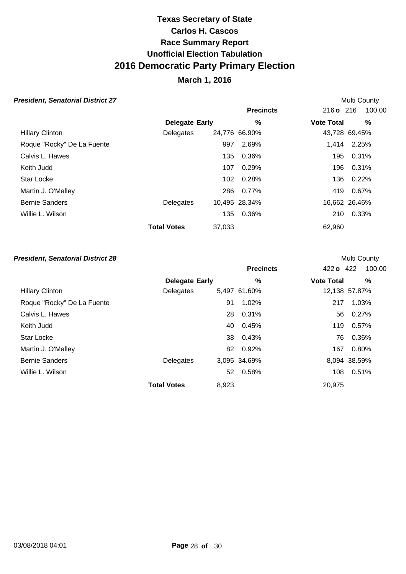## **March 1, 2016**

Multi County

Multi County

#### **President, Senatorial District 27**

|                            |                       |        | <b>Precincts</b> | $216 \text{ o}$ 216 | 100.00        |
|----------------------------|-----------------------|--------|------------------|---------------------|---------------|
|                            | <b>Delegate Early</b> |        | %                | <b>Vote Total</b>   | %             |
| <b>Hillary Clinton</b>     | Delegates             |        | 24,776 66.90%    |                     | 43,728 69.45% |
| Roque "Rocky" De La Fuente |                       | 997    | 2.69%            | 1.414               | 2.25%         |
| Calvis L. Hawes            |                       | 135    | 0.36%            | 195                 | 0.31%         |
| Keith Judd                 |                       | 107    | 0.29%            | 196                 | 0.31%         |
| Star Locke                 |                       | 102    | 0.28%            | 136                 | 0.22%         |
| Martin J. O'Malley         |                       | 286    | $0.77\%$         | 419                 | 0.67%         |
| <b>Bernie Sanders</b>      | Delegates             |        | 10,495 28.34%    |                     | 16,662 26.46% |
| Willie L. Wilson           |                       | 135    | 0.36%            | 210                 | 0.33%         |
|                            | <b>Total Votes</b>    | 37,033 |                  | 62,960              |               |

|                            |                       |       | <b>Precincts</b> | 422 o 422         | 100.00        |
|----------------------------|-----------------------|-------|------------------|-------------------|---------------|
|                            | <b>Delegate Early</b> |       | %                | <b>Vote Total</b> | %             |
| <b>Hillary Clinton</b>     | Delegates             |       | 5,497 61.60%     |                   | 12,138 57.87% |
| Roque "Rocky" De La Fuente |                       | 91    | 1.02%            | 217               | 1.03%         |
| Calvis L. Hawes            |                       | 28    | 0.31%            | 56                | 0.27%         |
| Keith Judd                 |                       | 40    | 0.45%            | 119               | 0.57%         |
| <b>Star Locke</b>          |                       |       | 38 0.43%         | 76                | 0.36%         |
| Martin J. O'Malley         |                       |       | 82 0.92%         | 167               | 0.80%         |
| <b>Bernie Sanders</b>      | Delegates             |       | 3,095 34.69%     |                   | 8,094 38.59%  |
| Willie L. Wilson           |                       |       | 52 0.58%         | 108               | 0.51%         |
|                            | <b>Total Votes</b>    | 8,923 |                  | 20,975            |               |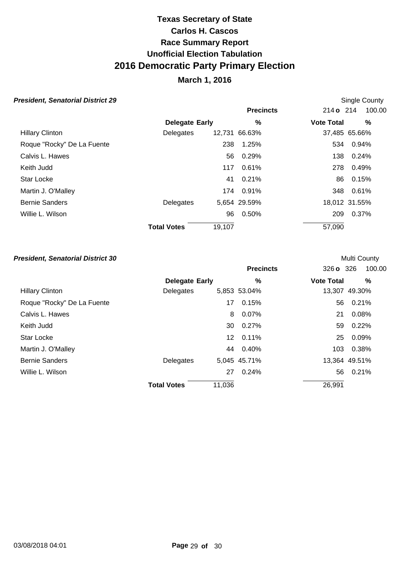## **March 1, 2016**

Single County

**Multi County** 

#### **President, Senatorial District 29**

|                            |                       |        | <b>Precincts</b> | 214 o 214         | 100.00        |
|----------------------------|-----------------------|--------|------------------|-------------------|---------------|
|                            | <b>Delegate Early</b> |        | %                | <b>Vote Total</b> | %             |
| <b>Hillary Clinton</b>     | Delegates             |        | 12,731 66.63%    |                   | 37,485 65.66% |
| Roque "Rocky" De La Fuente |                       | 238    | 1.25%            | 534               | 0.94%         |
| Calvis L. Hawes            |                       | 56     | 0.29%            | 138               | 0.24%         |
| Keith Judd                 |                       | 117    | 0.61%            | 278               | 0.49%         |
| <b>Star Locke</b>          |                       | 41     | 0.21%            | 86                | 0.15%         |
| Martin J. O'Malley         |                       | 174    | 0.91%            | 348               | $0.61\%$      |
| <b>Bernie Sanders</b>      | Delegates             |        | 5,654 29.59%     |                   | 18,012 31.55% |
| Willie L. Wilson           |                       | 96     | 0.50%            | 209               | 0.37%         |
|                            | <b>Total Votes</b>    | 19,107 |                  | 57,090            |               |

|                            |                       |        | <b>Precincts</b> | 326 o 326         | 100.00        |
|----------------------------|-----------------------|--------|------------------|-------------------|---------------|
|                            | <b>Delegate Early</b> |        | $\%$             | <b>Vote Total</b> | %             |
| <b>Hillary Clinton</b>     | Delegates             |        | 5,853 53.04%     |                   | 13,307 49.30% |
| Roque "Rocky" De La Fuente |                       | 17     | 0.15%            | 56                | 0.21%         |
| Calvis L. Hawes            |                       | 8      | 0.07%            | 21                | 0.08%         |
| Keith Judd                 |                       | 30     | 0.27%            | 59                | 0.22%         |
| <b>Star Locke</b>          |                       | 12     | 0.11%            | 25                | 0.09%         |
| Martin J. O'Malley         |                       | 44     | 0.40%            | 103               | 0.38%         |
| <b>Bernie Sanders</b>      | Delegates             |        | 5,045 45.71%     |                   | 13,364 49.51% |
| Willie L. Wilson           |                       | 27     | 0.24%            | 56                | 0.21%         |
|                            | <b>Total Votes</b>    | 11,036 |                  | 26,991            |               |